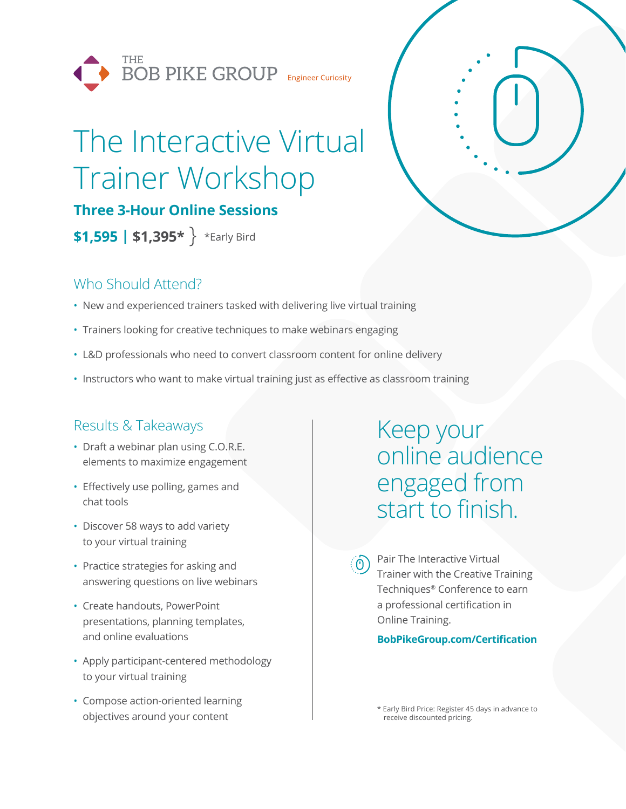

# The Interactive Virtual Trainer Workshop

**Three 3-Hour Online Sessions** 

**\$1,595 | \$1,395\*** \*Early Bird

## Who Should Attend?

- New and experienced trainers tasked with delivering live virtual training
- Trainers looking for creative techniques to make webinars engaging
- L&D professionals who need to convert classroom content for online delivery
- Instructors who want to make virtual training just as effective as classroom training

## Results & Takeaways

- Draft a webinar plan using C.O.R.E. elements to maximize engagement
- Effectively use polling, games and chat tools
- Discover 58 ways to add variety to your virtual training
- Practice strategies for asking and answering questions on live webinars
- Create handouts, PowerPoint presentations, planning templates, and online evaluations
- Apply participant-centered methodology to your virtual training
- Compose action-oriented learning objectives around your content

## Keep your online audience engaged from start to finish.

 $\hat{O}$  Pair The Interactive Virtual Trainer with the Creative Training Techniques® Conference to earn a professional certification in Online Training.

#### **BobPikeGroup.com/Certification**

\* Early Bird Price: Register 45 days in advance to receive discounted pricing.